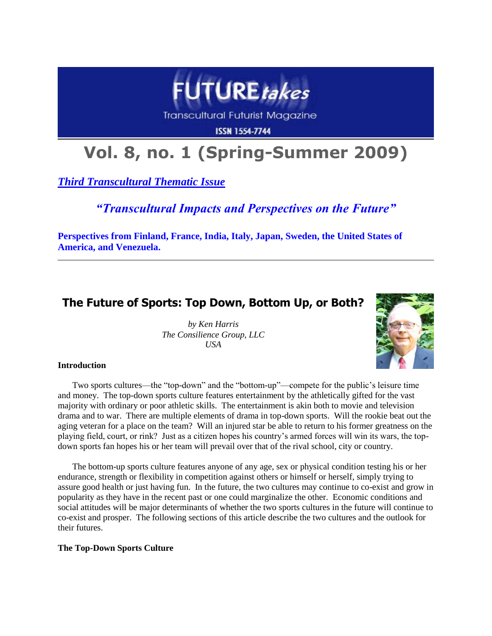

**Transcultural Futurist Magazine** 

**ISSN 1554-7744** 

# **Vol. 8, no. 1 (Spring-Summer 2009)**

*Third Transcultural Thematic Issue*

*"Transcultural Impacts and Perspectives on the Future"*

**Perspectives from Finland, France, India, Italy, Japan, Sweden, the United States of America, and Venezuela.**

# **The Future of Sports: Top Down, Bottom Up, or Both?**

*by Ken Harris The Consilience Group, LLC USA*



# **Introduction**

Two sports cultures—the "top-down" and the "bottom-up"—compete for the public's leisure time and money. The top-down sports culture features entertainment by the athletically gifted for the vast majority with ordinary or poor athletic skills. The entertainment is akin both to movie and television drama and to war. There are multiple elements of drama in top-down sports. Will the rookie beat out the aging veteran for a place on the team? Will an injured star be able to return to his former greatness on the playing field, court, or rink? Just as a citizen hopes his country's armed forces will win its wars, the topdown sports fan hopes his or her team will prevail over that of the rival school, city or country.

The bottom-up sports culture features anyone of any age, sex or physical condition testing his or her endurance, strength or flexibility in competition against others or himself or herself, simply trying to assure good health or just having fun. In the future, the two cultures may continue to co-exist and grow in popularity as they have in the recent past or one could marginalize the other. Economic conditions and social attitudes will be major determinants of whether the two sports cultures in the future will continue to co-exist and prosper. The following sections of this article describe the two cultures and the outlook for their futures.

# **The Top-Down Sports Culture**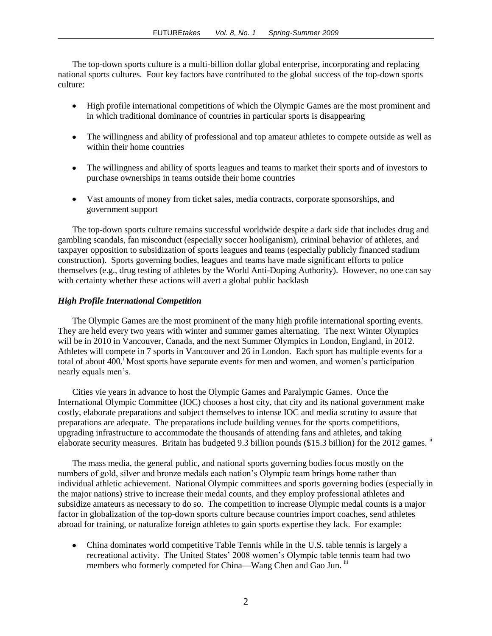The top-down sports culture is a multi-billion dollar global enterprise, incorporating and replacing national sports cultures. Four key factors have contributed to the global success of the top-down sports culture:

- High profile international competitions of which the Olympic Games are the most prominent and in which traditional dominance of countries in particular sports is disappearing
- The willingness and ability of professional and top amateur athletes to compete outside as well as within their home countries
- $\bullet$ The willingness and ability of sports leagues and teams to market their sports and of investors to purchase ownerships in teams outside their home countries
- Vast amounts of money from ticket sales, media contracts, corporate sponsorships, and government support

The top-down sports culture remains successful worldwide despite a dark side that includes drug and gambling scandals, fan misconduct (especially soccer hooliganism), criminal behavior of athletes, and taxpayer opposition to subsidization of sports leagues and teams (especially publicly financed stadium construction). Sports governing bodies, leagues and teams have made significant efforts to police themselves (e.g., drug testing of athletes by the World Anti-Doping Authority). However, no one can say with certainty whether these actions will avert a global public backlash

# *High Profile International Competition*

The Olympic Games are the most prominent of the many high profile international sporting events. They are held every two years with winter and summer games alternating. The next Winter Olympics will be in 2010 in Vancouver, Canada, and the next Summer Olympics in London, England, in 2012. Athletes will compete in 7 sports in Vancouver and 26 in London. Each sport has multiple events for a total of about 400.<sup>i</sup> Most sports have separate events for men and women, and women's participation nearly equals men's.

Cities vie years in advance to host the Olympic Games and Paralympic Games. Once the International Olympic Committee (IOC) chooses a host city, that city and its national government make costly, elaborate preparations and subject themselves to intense IOC and media scrutiny to assure that preparations are adequate. The preparations include building venues for the sports competitions, upgrading infrastructure to accommodate the thousands of attending fans and athletes, and taking elaborate security measures. Britain has budgeted 9.3 billion pounds (\$15.3 billion) for the 2012 games.  $\mathbb{I}$ 

The mass media, the general public, and national sports governing bodies focus mostly on the numbers of gold, silver and bronze medals each nation's Olympic team brings home rather than individual athletic achievement. National Olympic committees and sports governing bodies (especially in the major nations) strive to increase their medal counts, and they employ professional athletes and subsidize amateurs as necessary to do so. The competition to increase Olympic medal counts is a major factor in globalization of the top-down sports culture because countries import coaches, send athletes abroad for training, or naturalize foreign athletes to gain sports expertise they lack. For example:

China dominates world competitive Table Tennis while in the U.S. table tennis is largely a recreational activity. The United States' 2008 women's Olympic table tennis team had two members who formerly competed for China—Wang Chen and Gao Jun. iii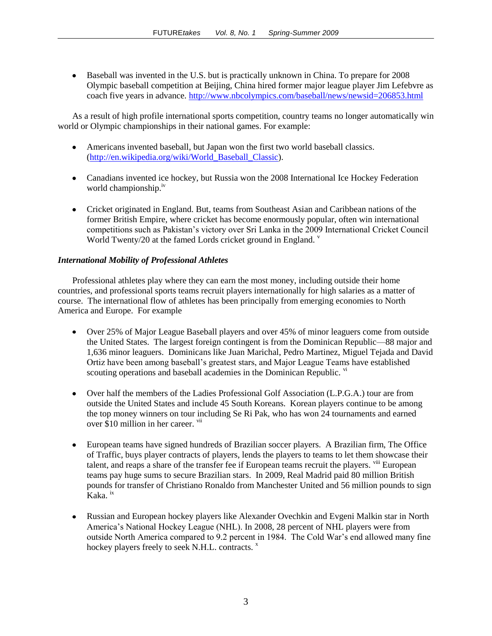Baseball was invented in the U.S. but is practically unknown in China. To prepare for 2008 Olympic baseball competition at Beijing, China hired former major league player Jim Lefebvre as coach five years in advance.<http://www.nbcolympics.com/baseball/news/newsid=206853.html>

As a result of high profile international sports competition, country teams no longer automatically win world or Olympic championships in their national games. For example:

- Americans invented baseball, but Japan won the first two world baseball classics. [\(http://en.wikipedia.org/wiki/World\\_Baseball\\_Classic\)](http://en.wikipedia.org/wiki/World_Baseball_Classic).
- Canadians invented ice hockey, but Russia won the 2008 International Ice Hockey Federation world championship.<sup>1V</sup>
- Cricket originated in England. But, teams from Southeast Asian and Caribbean nations of the former British Empire, where cricket has become enormously popular, often win international competitions such as Pakistan's victory over Sri Lanka in the 2009 International Cricket Council World Twenty/20 at the famed Lords cricket ground in England.  $\overline{v}$

# *International Mobility of Professional Athletes*

Professional athletes play where they can earn the most money, including outside their home countries, and professional sports teams recruit players internationally for high salaries as a matter of course. The international flow of athletes has been principally from emerging economies to North America and Europe. For example

- Over 25% of Major League Baseball players and over 45% of minor leaguers come from outside the United States. The largest foreign contingent is from the Dominican Republic—88 major and 1,636 minor leaguers. Dominicans like Juan Marichal, Pedro Martinez, Miguel Tejada and David Ortiz have been among baseball's greatest stars, and Major League Teams have established scouting operations and baseball academies in the Dominican Republic. vi
- Over half the members of the Ladies Professional Golf Association (L.P.G.A.) tour are from  $\bullet$ outside the United States and include 45 South Koreans. Korean players continue to be among the top money winners on tour including Se Ri Pak, who has won 24 tournaments and earned over \$10 million in her career. vii
- European teams have signed hundreds of Brazilian soccer players. A Brazilian firm, The Office of Traffic, buys player contracts of players, lends the players to teams to let them showcase their talent, and reaps a share of the transfer fee if European teams recruit the players. <sup>viii</sup> European teams pay huge sums to secure Brazilian stars. In 2009, Real Madrid paid 80 million British pounds for transfer of Christiano Ronaldo from Manchester United and 56 million pounds to sign Kaka. ix
- Russian and European hockey players like Alexander Ovechkin and Evgeni Malkin star in North  $\bullet$ America's National Hockey League (NHL). In 2008, 28 percent of NHL players were from outside North America compared to 9.2 percent in 1984. The Cold War's end allowed many fine hockey players freely to seek N.H.L. contracts.  $x$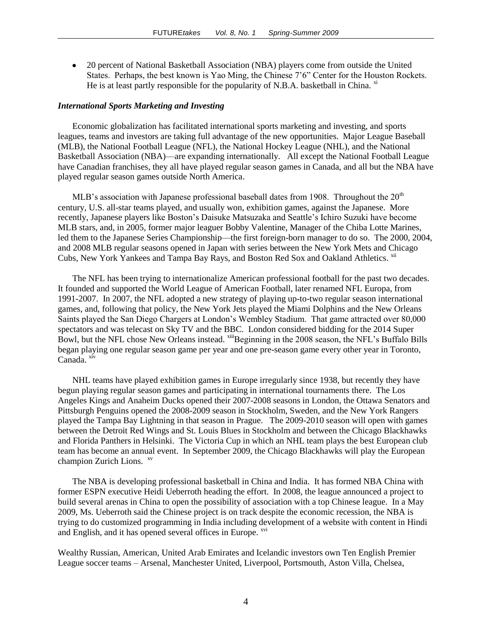20 percent of National Basketball Association (NBA) players come from outside the United States. Perhaps, the best known is Yao Ming, the Chinese 7'6" Center for the Houston Rockets. He is at least partly responsible for the popularity of N.B.A. basketball in China.  $\frac{X^2}{X}$ 

#### *International Sports Marketing and Investing*

Economic globalization has facilitated international sports marketing and investing, and sports leagues, teams and investors are taking full advantage of the new opportunities. Major League Baseball (MLB), the National Football League (NFL), the National Hockey League (NHL), and the National Basketball Association (NBA)—are expanding internationally. All except the National Football League have Canadian franchises, they all have played regular season games in Canada, and all but the NBA have played regular season games outside North America.

MLB's association with Japanese professional baseball dates from 1908. Throughout the  $20<sup>th</sup>$ century, U.S. all-star teams played, and usually won, exhibition games, against the Japanese. More recently, Japanese players like Boston's Daisuke Matsuzaka and Seattle's Ichiro Suzuki have become MLB stars, and, in 2005, former major leaguer Bobby Valentine, Manager of the Chiba Lotte Marines, led them to the Japanese Series Championship—the first foreign-born manager to do so. The 2000, 2004, and 2008 MLB regular seasons opened in Japan with series between the New York Mets and Chicago Cubs, New York Yankees and Tampa Bay Rays, and Boston Red Sox and Oakland Athletics. xii

The NFL has been trying to internationalize American professional football for the past two decades. It founded and supported the World League of American Football, later renamed NFL Europa, from 1991-2007. In 2007, the NFL adopted a new strategy of playing up-to-two regular season international games, and, following that policy, the New York Jets played the Miami Dolphins and the New Orleans Saints played the San Diego Chargers at London's Wembley Stadium. That game attracted over 80,000 spectators and was telecast on Sky TV and the BBC. London considered bidding for the 2014 Super Bowl, but the NFL chose New Orleans instead.  $x^{iii}$ Beginning in the 2008 season, the NFL's Buffalo Bills began playing one regular season game per year and one pre-season game every other year in Toronto, Canada. xiv

NHL teams have played exhibition games in Europe irregularly since 1938, but recently they have begun playing regular season games and participating in international tournaments there. The Los Angeles Kings and Anaheim Ducks opened their 2007-2008 seasons in London, the Ottawa Senators and Pittsburgh Penguins opened the 2008-2009 season in Stockholm, Sweden, and the New York Rangers played the Tampa Bay Lightning in that season in Prague. The 2009-2010 season will open with games between the Detroit Red Wings and St. Louis Blues in Stockholm and between the Chicago Blackhawks and Florida Panthers in Helsinki. The Victoria Cup in which an NHL team plays the best European club team has become an annual event. In September 2009, the Chicago Blackhawks will play the European champion Zurich Lions. <sup>xv</sup>

The NBA is developing professional basketball in China and India. It has formed NBA China with former ESPN executive Heidi Ueberroth heading the effort. In 2008, the league announced a project to build several arenas in China to open the possibility of association with a top Chinese league. In a May 2009, Ms. Ueberroth said the Chinese project is on track despite the economic recession, the NBA is trying to do customized programming in India including development of a website with content in Hindi and English, and it has opened several offices in Europe.  $\frac{X}{Y}$ 

Wealthy Russian, American, United Arab Emirates and Icelandic investors own Ten English Premier League soccer teams – Arsenal, Manchester United, Liverpool, Portsmouth, Aston Villa, Chelsea,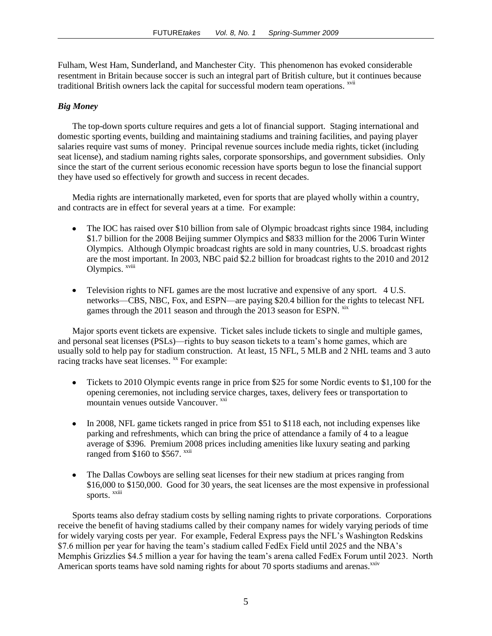Fulham, West Ham, Sunderland, and Manchester City. This phenomenon has evoked considerable resentment in Britain because soccer is such an integral part of British culture, but it continues because traditional British owners lack the capital for successful modern team operations. <sup>xvii</sup>

# *Big Money*

The top-down sports culture requires and gets a lot of financial support. Staging international and domestic sporting events, building and maintaining stadiums and training facilities, and paying player salaries require vast sums of money. Principal revenue sources include media rights, ticket (including seat license), and stadium naming rights sales, corporate sponsorships, and government subsidies. Only since the start of the current serious economic recession have sports begun to lose the financial support they have used so effectively for growth and success in recent decades.

Media rights are internationally marketed, even for sports that are played wholly within a country, and contracts are in effect for several years at a time. For example:

- The IOC has raised over \$10 billion from sale of Olympic broadcast rights since 1984, including \$1.7 billion for the 2008 Beijing summer Olympics and \$833 million for the 2006 Turin Winter Olympics. Although Olympic broadcast rights are sold in many countries, U.S. broadcast rights are the most important. In 2003, NBC paid \$2.2 billion for broadcast rights to the 2010 and 2012 Olympics. xviii
- Television rights to NFL games are the most lucrative and expensive of any sport. 4 U.S. networks—CBS, NBC, Fox, and ESPN—are paying \$20.4 billion for the rights to telecast NFL games through the 2011 season and through the 2013 season for ESPN. <sup>xix</sup>

Major sports event tickets are expensive. Ticket sales include tickets to single and multiple games, and personal seat licenses (PSLs)—rights to buy season tickets to a team's home games, which are usually sold to help pay for stadium construction. At least, 15 NFL, 5 MLB and 2 NHL teams and 3 auto racing tracks have seat licenses. <sup>xx</sup> For example:

- Tickets to 2010 Olympic events range in price from \$25 for some Nordic events to \$1,100 for the  $\bullet$ opening ceremonies, not including service charges, taxes, delivery fees or transportation to mountain venues outside Vancouver. xxi
- In 2008, NFL game tickets ranged in price from \$51 to \$118 each, not including expenses like parking and refreshments, which can bring the price of attendance a family of 4 to a league average of \$396. Premium 2008 prices including amenities like luxury seating and parking ranged from  $$160$  to  $$567$ .  $^{xxii}$
- The Dallas Cowboys are selling seat licenses for their new stadium at prices ranging from \$16,000 to \$150,000. Good for 30 years, the seat licenses are the most expensive in professional sports. xxiii

Sports teams also defray stadium costs by selling naming rights to private corporations. Corporations receive the benefit of having stadiums called by their company names for widely varying periods of time for widely varying costs per year. For example, Federal Express pays the NFL's Washington Redskins \$7.6 million per year for having the team's stadium called FedEx Field until 2025 and the NBA's Memphis Grizzlies \$4.5 million a year for having the team's arena called FedEx Forum until 2023. North American sports teams have sold naming rights for about 70 sports stadiums and arenas. $^{xxiv}$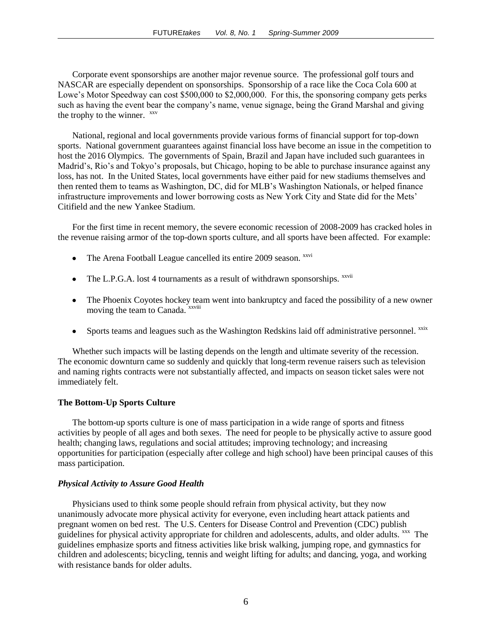Corporate event sponsorships are another major revenue source. The professional golf tours and NASCAR are especially dependent on sponsorships. Sponsorship of a race like the Coca Cola 600 at Lowe's Motor Speedway can cost \$500,000 to \$2,000,000. For this, the sponsoring company gets perks such as having the event bear the company's name, venue signage, being the Grand Marshal and giving the trophy to the winner. <sup>xxv</sup>

National, regional and local governments provide various forms of financial support for top-down sports. National government guarantees against financial loss have become an issue in the competition to host the 2016 Olympics. The governments of Spain, Brazil and Japan have included such guarantees in Madrid's, Rio's and Tokyo's proposals, but Chicago, hoping to be able to purchase insurance against any loss, has not. In the United States, local governments have either paid for new stadiums themselves and then rented them to teams as Washington, DC, did for MLB's Washington Nationals, or helped finance infrastructure improvements and lower borrowing costs as New York City and State did for the Mets' Citifield and the new Yankee Stadium.

For the first time in recent memory, the severe economic recession of 2008-2009 has cracked holes in the revenue raising armor of the top-down sports culture, and all sports have been affected. For example:

- The Arena Football League cancelled its entire 2009 season. *xxvi*  $\bullet$
- The L.P.G.A. lost 4 tournaments as a result of withdrawn sponsorships. <sup>xxvii</sup>
- The Phoenix Coyotes hockey team went into bankruptcy and faced the possibility of a new owner moving the team to Canada. <sup>xxviii</sup>
- Sports teams and leagues such as the Washington Redskins laid off administrative personnel. xxix

Whether such impacts will be lasting depends on the length and ultimate severity of the recession. The economic downturn came so suddenly and quickly that long-term revenue raisers such as television and naming rights contracts were not substantially affected, and impacts on season ticket sales were not immediately felt.

#### **The Bottom-Up Sports Culture**

The bottom-up sports culture is one of mass participation in a wide range of sports and fitness activities by people of all ages and both sexes. The need for people to be physically active to assure good health; changing laws, regulations and social attitudes; improving technology; and increasing opportunities for participation (especially after college and high school) have been principal causes of this mass participation.

#### *Physical Activity to Assure Good Health*

Physicians used to think some people should refrain from physical activity, but they now unanimously advocate more physical activity for everyone, even including heart attack patients and pregnant women on bed rest. The U.S. Centers for Disease Control and Prevention (CDC) publish guidelines for physical activity appropriate for children and adolescents, adults, and older adults. <sup>xxx</sup> The guidelines emphasize sports and fitness activities like brisk walking, jumping rope, and gymnastics for children and adolescents; bicycling, tennis and weight lifting for adults; and dancing, yoga, and working with resistance bands for older adults.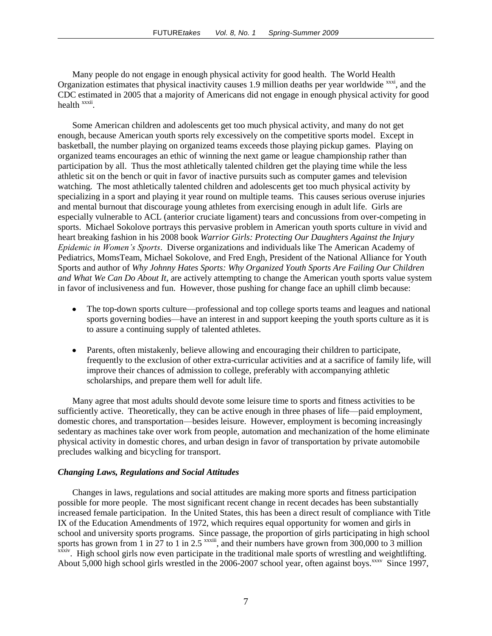Many people do not engage in enough physical activity for good health. The World Health Organization estimates that physical inactivity causes 1.9 million deaths per year worldwide xxxi, and the CDC estimated in 2005 that a majority of Americans did not engage in enough physical activity for good health <sup>xxxii</sup>.

Some American children and adolescents get too much physical activity, and many do not get enough, because American youth sports rely excessively on the competitive sports model. Except in basketball, the number playing on organized teams exceeds those playing pickup games. Playing on organized teams encourages an ethic of winning the next game or league championship rather than participation by all. Thus the most athletically talented children get the playing time while the less athletic sit on the bench or quit in favor of inactive pursuits such as computer games and television watching. The most athletically talented children and adolescents get too much physical activity by specializing in a sport and playing it year round on multiple teams. This causes serious overuse injuries and mental burnout that discourage young athletes from exercising enough in adult life. Girls are especially vulnerable to ACL (anterior cruciate ligament) tears and concussions from over-competing in sports. Michael Sokolove portrays this pervasive problem in American youth sports culture in vivid and heart breaking fashion in his 2008 book *Warrior Girls: Protecting Our Daughters Against the Injury Epidemic in Women's Sports*. Diverse organizations and individuals like The American Academy of Pediatrics, MomsTeam, Michael Sokolove, and Fred Engh, President of the National Alliance for Youth Sports and author of *Why Johnny Hates Sports: Why Organized Youth Sports Are Failing Our Children and What We Can Do About It*, are actively attempting to change the American youth sports value system in favor of inclusiveness and fun. However, those pushing for change face an uphill climb because:

- The top-down sports culture—professional and top college sports teams and leagues and national  $\bullet$ sports governing bodies—have an interest in and support keeping the youth sports culture as it is to assure a continuing supply of talented athletes.
- Parents, often mistakenly, believe allowing and encouraging their children to participate, frequently to the exclusion of other extra-curricular activities and at a sacrifice of family life, will improve their chances of admission to college, preferably with accompanying athletic scholarships, and prepare them well for adult life.

Many agree that most adults should devote some leisure time to sports and fitness activities to be sufficiently active. Theoretically, they can be active enough in three phases of life—paid employment, domestic chores, and transportation—besides leisure. However, employment is becoming increasingly sedentary as machines take over work from people, automation and mechanization of the home eliminate physical activity in domestic chores, and urban design in favor of transportation by private automobile precludes walking and bicycling for transport.

# *Changing Laws, Regulations and Social Attitudes*

Changes in laws, regulations and social attitudes are making more sports and fitness participation possible for more people. The most significant recent change in recent decades has been substantially increased female participation. In the United States, this has been a direct result of compliance with Title IX of the Education Amendments of 1972, which requires equal opportunity for women and girls in school and university sports programs. Since passage, the proportion of girls participating in high school sports has grown from 1 in 27 to 1 in 2.5  $\frac{x}{x}$ , and their numbers have grown from 300,000 to 3 million *xxxiv*. High school girls now even participate in the traditional male sports of wrestling and weightlifting. About 5,000 high school girls wrestled in the 2006-2007 school year, often against boys.<sup>xxxv</sup> Since 1997,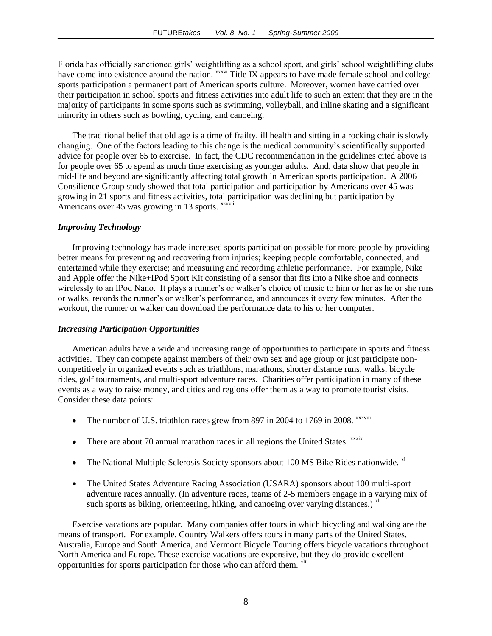Florida has officially sanctioned girls' weightlifting as a school sport, and girls' school weightlifting clubs have come into existence around the nation. <sup>XXXV</sup> Title IX appears to have made female school and college sports participation a permanent part of American sports culture. Moreover, women have carried over their participation in school sports and fitness activities into adult life to such an extent that they are in the majority of participants in some sports such as swimming, volleyball, and inline skating and a significant minority in others such as bowling, cycling, and canoeing.

The traditional belief that old age is a time of frailty, ill health and sitting in a rocking chair is slowly changing. One of the factors leading to this change is the medical community's scientifically supported advice for people over 65 to exercise. In fact, the CDC recommendation in the guidelines cited above is for people over 65 to spend as much time exercising as younger adults. And, data show that people in mid-life and beyond are significantly affecting total growth in American sports participation. A 2006 Consilience Group study showed that total participation and participation by Americans over 45 was growing in 21 sports and fitness activities, total participation was declining but participation by Americans over 45 was growing in 13 sports. *xxxvii* 

#### *Improving Technology*

Improving technology has made increased sports participation possible for more people by providing better means for preventing and recovering from injuries; keeping people comfortable, connected, and entertained while they exercise; and measuring and recording athletic performance. For example, Nike and Apple offer the Nike+IPod Sport Kit consisting of a sensor that fits into a Nike shoe and connects wirelessly to an IPod Nano. It plays a runner's or walker's choice of music to him or her as he or she runs or walks, records the runner's or walker's performance, and announces it every few minutes. After the workout, the runner or walker can download the performance data to his or her computer.

#### *Increasing Participation Opportunities*

American adults have a wide and increasing range of opportunities to participate in sports and fitness activities. They can compete against members of their own sex and age group or just participate noncompetitively in organized events such as triathlons, marathons, shorter distance runs, walks, bicycle rides, golf tournaments, and multi-sport adventure races. Charities offer participation in many of these events as a way to raise money, and cities and regions offer them as a way to promote tourist visits. Consider these data points:

- The number of U.S. triathlon races grew from 897 in 2004 to 1769 in 2008. *xxxviii*
- There are about 70 annual marathon races in all regions the United States.  $\frac{xx}{xx}$
- The National Multiple Sclerosis Society sponsors about 100 MS Bike Rides nationwide. <sup>xl</sup>  $\bullet$
- $\bullet$ The United States Adventure Racing Association (USARA) sponsors about 100 multi-sport adventure races annually. (In adventure races, teams of 2-5 members engage in a varying mix of such sports as biking, orienteering, hiking, and canoeing over varying distances.)  $\frac{v_{\text{air}}}{v_{\text{air}}}$

Exercise vacations are popular. Many companies offer tours in which bicycling and walking are the means of transport. For example, Country Walkers offers tours in many parts of the United States, Australia, Europe and South America, and Vermont Bicycle Touring offers bicycle vacations throughout North America and Europe. These exercise vacations are expensive, but they do provide excellent opportunities for sports participation for those who can afford them. <sup>xlii</sup>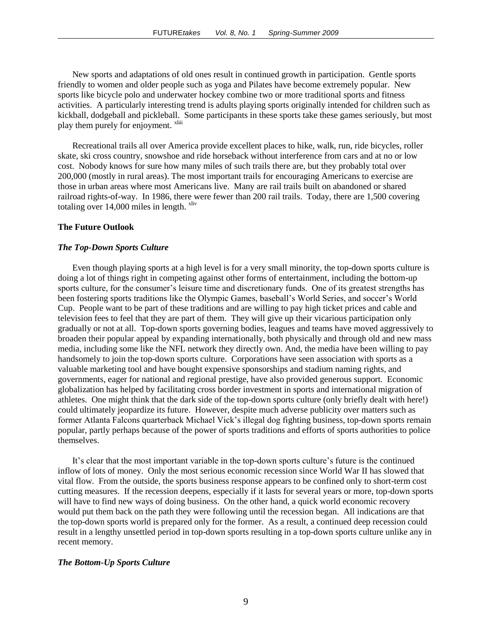New sports and adaptations of old ones result in continued growth in participation. Gentle sports friendly to women and older people such as yoga and Pilates have become extremely popular. New sports like bicycle polo and underwater hockey combine two or more traditional sports and fitness activities. A particularly interesting trend is adults playing sports originally intended for children such as kickball, dodgeball and pickleball. Some participants in these sports take these games seriously, but most play them purely for enjoyment. <sup>xliii</sup>

Recreational trails all over America provide excellent places to hike, walk, run, ride bicycles, roller skate, ski cross country, snowshoe and ride horseback without interference from cars and at no or low cost. Nobody knows for sure how many miles of such trails there are, but they probably total over 200,000 (mostly in rural areas). The most important trails for encouraging Americans to exercise are those in urban areas where most Americans live. Many are rail trails built on abandoned or shared railroad rights-of-way. In 1986, there were fewer than 200 rail trails. Today, there are 1,500 covering totaling over  $14,000$  miles in length.  $x$ liv

#### **The Future Outlook**

#### *The Top-Down Sports Culture*

Even though playing sports at a high level is for a very small minority, the top-down sports culture is doing a lot of things right in competing against other forms of entertainment, including the bottom-up sports culture, for the consumer's leisure time and discretionary funds. One of its greatest strengths has been fostering sports traditions like the Olympic Games, baseball's World Series, and soccer's World Cup. People want to be part of these traditions and are willing to pay high ticket prices and cable and television fees to feel that they are part of them. They will give up their vicarious participation only gradually or not at all. Top-down sports governing bodies, leagues and teams have moved aggressively to broaden their popular appeal by expanding internationally, both physically and through old and new mass media, including some like the NFL network they directly own. And, the media have been willing to pay handsomely to join the top-down sports culture. Corporations have seen association with sports as a valuable marketing tool and have bought expensive sponsorships and stadium naming rights, and governments, eager for national and regional prestige, have also provided generous support. Economic globalization has helped by facilitating cross border investment in sports and international migration of athletes. One might think that the dark side of the top-down sports culture (only briefly dealt with here!) could ultimately jeopardize its future. However, despite much adverse publicity over matters such as former Atlanta Falcons quarterback Michael Vick's illegal dog fighting business, top-down sports remain popular, partly perhaps because of the power of sports traditions and efforts of sports authorities to police themselves.

It's clear that the most important variable in the top-down sports culture's future is the continued inflow of lots of money. Only the most serious economic recession since World War II has slowed that vital flow. From the outside, the sports business response appears to be confined only to short-term cost cutting measures. If the recession deepens, especially if it lasts for several years or more, top-down sports will have to find new ways of doing business. On the other hand, a quick world economic recovery would put them back on the path they were following until the recession began. All indications are that the top-down sports world is prepared only for the former. As a result, a continued deep recession could result in a lengthy unsettled period in top-down sports resulting in a top-down sports culture unlike any in recent memory.

#### *The Bottom-Up Sports Culture*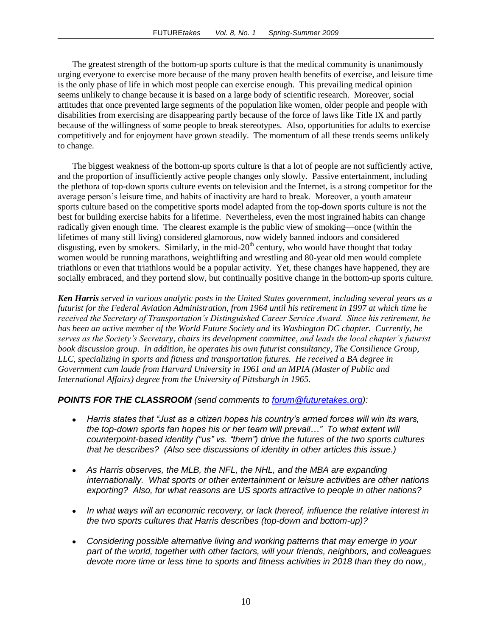The greatest strength of the bottom-up sports culture is that the medical community is unanimously urging everyone to exercise more because of the many proven health benefits of exercise, and leisure time is the only phase of life in which most people can exercise enough. This prevailing medical opinion seems unlikely to change because it is based on a large body of scientific research. Moreover, social attitudes that once prevented large segments of the population like women, older people and people with disabilities from exercising are disappearing partly because of the force of laws like Title IX and partly because of the willingness of some people to break stereotypes. Also, opportunities for adults to exercise competitively and for enjoyment have grown steadily. The momentum of all these trends seems unlikely to change.

The biggest weakness of the bottom-up sports culture is that a lot of people are not sufficiently active, and the proportion of insufficiently active people changes only slowly. Passive entertainment, including the plethora of top-down sports culture events on television and the Internet, is a strong competitor for the average person's leisure time, and habits of inactivity are hard to break. Moreover, a youth amateur sports culture based on the competitive sports model adapted from the top-down sports culture is not the best for building exercise habits for a lifetime. Nevertheless, even the most ingrained habits can change radically given enough time. The clearest example is the public view of smoking—once (within the lifetimes of many still living) considered glamorous, now widely banned indoors and considered disgusting, even by smokers. Similarly, in the mid- $20<sup>th</sup>$  century, who would have thought that today women would be running marathons, weightlifting and wrestling and 80-year old men would complete triathlons or even that triathlons would be a popular activity. Yet, these changes have happened, they are socially embraced, and they portend slow, but continually positive change in the bottom-up sports culture.

*Ken Harris served in various analytic posts in the United States government, including several years as a futurist for the Federal Aviation Administration, from 1964 until his retirement in 1997 at which time he received the Secretary of Transportation's Distinguished Career Service Award. Since his retirement, he has been an active member of the World Future Society and its Washington DC chapter. Currently, he serves as the Society's Secretary, chairs its development committee, and leads the local chapter's futurist book discussion group. In addition, he operates his own futurist consultancy, The Consilience Group, LLC, specializing in sports and fitness and transportation futures. He received a BA degree in Government cum laude from Harvard University in 1961 and an MPIA (Master of Public and International Affairs) degree from the University of Pittsburgh in 1965.*

# *POINTS FOR THE CLASSROOM (send comments to [forum@futuretakes.org\)](mailto:forum@futuretakes.org):*

- *Harris states that "Just as a citizen hopes his country's armed forces will win its wars, the top-down sports fan hopes his or her team will prevail…" To what extent will counterpoint-based identity ("us" vs. "them") drive the futures of the two sports cultures that he describes? (Also see discussions of identity in other articles this issue.)*
- *As Harris observes, the MLB, the NFL, the NHL, and the MBA are expanding internationally. What sports or other entertainment or leisure activities are other nations exporting? Also, for what reasons are US sports attractive to people in other nations?*
- *In what ways will an economic recovery, or lack thereof, influence the relative interest in the two sports cultures that Harris describes (top-down and bottom-up)?*
- *Considering possible alternative living and working patterns that may emerge in your part of the world, together with other factors, will your friends, neighbors, and colleagues devote more time or less time to sports and fitness activities in 2018 than they do now,,*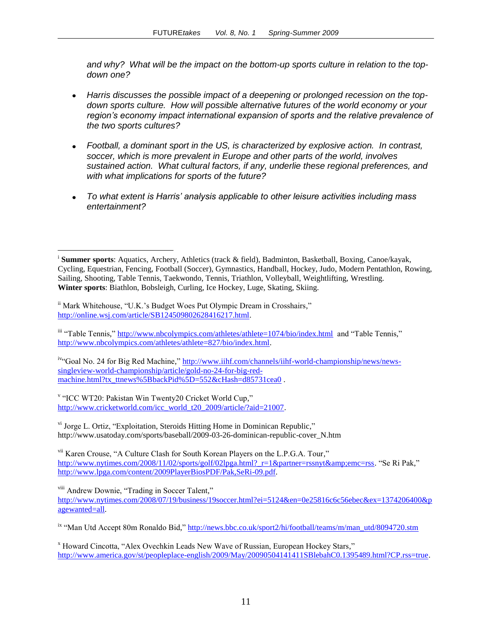*and why? What will be the impact on the bottom-up sports culture in relation to the topdown one?*

- *Harris discusses the possible impact of a deepening or prolonged recession on the topdown sports culture. How will possible alternative futures of the world economy or your region's economy impact international expansion of sports and the relative prevalence of the two sports cultures?*
- *Football, a dominant sport in the US, is characterized by explosive action. In contrast, soccer, which is more prevalent in Europe and other parts of the world, involves sustained action. What cultural factors, if any, underlie these regional preferences, and with what implications for sports of the future?*
- *To what extent is Harris' analysis applicable to other leisure activities including mass entertainment?*

 $\overline{a}$ 

iv"Goal No. 24 for Big Red Machine," [http://www.iihf.com/channels/iihf-world-championship/news/news](http://www.iihf.com/channels/iihf-world-championship/news/news-singleview-world-championship/article/gold-no-24-for-big-red-machine.html?tx_ttnews%5BbackPid%5D=552&cHash=d85731cea0)[singleview-world-championship/article/gold-no-24-for-big-red](http://www.iihf.com/channels/iihf-world-championship/news/news-singleview-world-championship/article/gold-no-24-for-big-red-machine.html?tx_ttnews%5BbackPid%5D=552&cHash=d85731cea0)[machine.html?tx\\_ttnews%5BbackPid%5D=552&cHash=d85731cea0](http://www.iihf.com/channels/iihf-world-championship/news/news-singleview-world-championship/article/gold-no-24-for-big-red-machine.html?tx_ttnews%5BbackPid%5D=552&cHash=d85731cea0).

<sup>v</sup> "ICC WT20: Pakistan Win Twenty20 Cricket World Cup," [http://www.cricketworld.com/icc\\_world\\_t20\\_2009/article/?aid=21007.](http://www.cricketworld.com/icc_world_t20_2009/article/?aid=21007)

 $v<sup>i</sup>$  Jorge L. Ortiz, "Exploitation, Steroids Hitting Home in Dominican Republic." http://www.usatoday.com/sports/baseball/2009-03-26-dominican-republic-cover\_N.htm

<sup>vii</sup> Karen Crouse, "A Culture Clash for South Korean Players on the L.P.G.A. Tour," [http://www.nytimes.com/2008/11/02/sports/golf/02lpga.html?\\_r=1&partner=rssnyt&emc=rss.](http://www.nytimes.com/2008/11/02/sports/golf/02lpga.html?_r=1&partner=rssnyt&emc=rss) "Se Ri Pak," [http://www.lpga.com/content/2009PlayerBiosPDF/Pak,SeRi-09.pdf.](http://www.lpga.com/content/2009PlayerBiosPDF/Pak,SeRi-09.pdf)

<sup>viii</sup> Andrew Downie, "Trading in Soccer Talent," [http://www.nytimes.com/2008/07/19/business/19soccer.html?ei=5124&en=0e25816c6c56ebec&ex=1374206400&p](http://www.nytimes.com/2008/07/19/business/19soccer.html?ei=5124&en=0e25816c6c56ebec&ex=1374206400&pagewanted=all) [agewanted=all.](http://www.nytimes.com/2008/07/19/business/19soccer.html?ei=5124&en=0e25816c6c56ebec&ex=1374206400&pagewanted=all)

ix "Man Utd Accept 80m Ronaldo Bid," http://news.bbc.co.uk/sport2/hi/football/teams/m/man\_utd/8094720.stm

<sup>x</sup> Howard Cincotta, "Alex Ovechkin Leads New Wave of Russian, European Hockey Stars," [http://www.america.gov/st/peopleplace-english/2009/May/20090504141411SBlebahC0.1395489.html?CP.rss=true.](http://www.america.gov/st/peopleplace-english/2009/May/20090504141411SBlebahC0.1395489.html?CP.rss=true)

i **Summer sports**: Aquatics, Archery, Athletics (track & field), Badminton, Basketball, Boxing, Canoe/kayak, Cycling, Equestrian, Fencing, Football (Soccer), Gymnastics, Handball, Hockey, Judo, Modern Pentathlon, Rowing, Sailing, Shooting, Table Tennis, Taekwondo, Tennis, Triathlon, Volleyball, Weightlifting, Wrestling. **Winter sports**: Biathlon, Bobsleigh, Curling, Ice Hockey, Luge, Skating, Skiing.

<sup>&</sup>lt;sup>ii</sup> Mark Whitehouse, "U.K.'s Budget Woes Put Olympic Dream in Crosshairs," [http://online.wsj.com/article/SB124509802628416217.html.](http://online.wsj.com/article/SB124509802628416217.html)

iii "Table Tennis,"<http://www.nbcolympics.com/athletes/athlete=1074/bio/index.html>and "Table Tennis," [http://www.nbcolympics.com/athletes/athlete=827/bio/index.html.](http://www.nbcolympics.com/athletes/athlete=827/bio/index.html)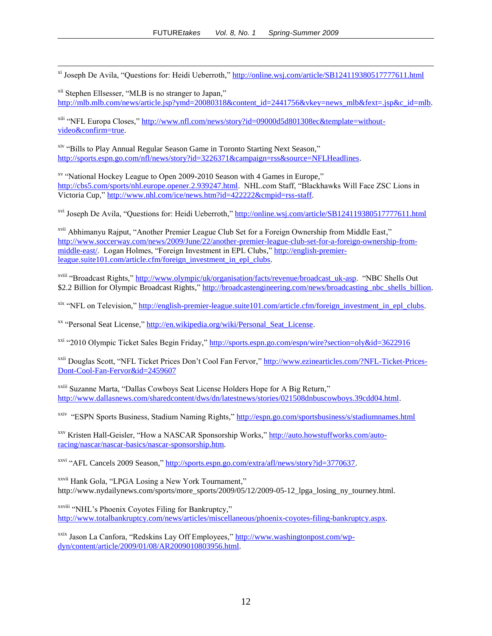<sup>xi</sup> Joseph De Avila, "Questions for: Heidi Ueberroth,"<http://online.wsj.com/article/SB124119380517777611.html>

<sup>xii</sup> Stephen Ellsesser, "MLB is no stranger to Japan," [http://mlb.mlb.com/news/article.jsp?ymd=20080318&content\\_id=2441756&vkey=news\\_mlb&fext=.jsp&c\\_id=mlb.](http://mlb.mlb.com/news/article.jsp?ymd=20080318&content_id=2441756&vkey=news_mlb&fext=.jsp&c_id=mlb)

<sup>xiii</sup> "NFL Europa Closes," [http://www.nfl.com/news/story?id=09000d5d801308ec&template=without](http://www.nfl.com/news/story?id=09000d5d801308ec&template=without-video&confirm=true)[video&confirm=true.](http://www.nfl.com/news/story?id=09000d5d801308ec&template=without-video&confirm=true)

<sup>xiv</sup> "Bills to Play Annual Regular Season Game in Toronto Starting Next Season," [http://sports.espn.go.com/nfl/news/story?id=3226371&campaign=rss&source=NFLHeadlines.](http://sports.espn.go.com/nfl/news/story?id=3226371&campaign=rss&source=NFLHeadlines)

 $\overline{a}$ 

<sup>xv</sup> "National Hockey League to Open 2009-2010 Season with 4 Games in Europe," [http://cbs5.com/sports/nhl.europe.opener.2.939247.html.](http://cbs5.com/sports/nhl.europe.opener.2.939247.html) NHL.com Staff, "Blackhawks Will Face ZSC Lions in Victoria Cup," [http://www.nhl.com/ice/news.htm?id=422222&cmpid=rss-staff.](http://www.nhl.com/ice/news.htm?id=422222&cmpid=rss-staff)

<sup>xvi</sup> Joseph De Avila, "Questions for: Heidi Ueberroth,"<http://online.wsj.com/article/SB124119380517777611.html>

<sup>xvii</sup> Abhimanyu Rajput, "Another Premier League Club Set for a Foreign Ownership from Middle East," [http://www.soccerway.com/news/2009/June/22/another-premier-league-club-set-for-a-foreign-ownership-from](http://www.soccerway.com/news/2009/June/22/another-premier-league-club-set-for-a-foreign-ownership-from-middle-east/)[middle-east/.](http://www.soccerway.com/news/2009/June/22/another-premier-league-club-set-for-a-foreign-ownership-from-middle-east/) Logan Holmes, "Foreign Investment in EPL Clubs," [http://english-premier](http://english-premier-league.suite101.com/article.cfm/foreign_investment_in_epl_clubs)[league.suite101.com/article.cfm/foreign\\_investment\\_in\\_epl\\_clubs.](http://english-premier-league.suite101.com/article.cfm/foreign_investment_in_epl_clubs)

xviii "Broadcast Rights," [http://www.olympic/uk/organisation/facts/revenue/broadcast\\_uk-asp.](http://www.olympic/uk/organisation/facts/revenue/broadcast_uk-asp) "NBC Shells Out \$2.2 Billion for Olympic Broadcast Rights," [http://broadcastengineering.com/news/broadcasting\\_nbc\\_shells\\_billion.](http://broadcastengineering.com/news/broadcasting_nbc_shells_billion)

 $x$ <sup>ix "</sup>NFL on Television," [http://english-premier-league.suite101.com/article.cfm/foreign\\_investment\\_in\\_epl\\_clubs.](http://english-premier-league.suite101.com/article.cfm/foreign_investment_in_epl_clubs)

<sup>xx</sup> "Personal Seat License," http://en.wikipedia.org/wiki/Personal Seat License.

<sup>xxi</sup> "2010 Olympic Ticket Sales Begin Friday,"<http://sports.espn.go.com/espn/wire?section=oly&id=3622916>

<sup>xxii</sup> Douglas Scott, "NFL Ticket Prices Don't Cool Fan Fervor," [http://www.ezinearticles.com/?NFL-Ticket-Prices-](http://www.ezinearticles.com/?NFL-Ticket-Prices-Dont-Cool-Fan-Fervor&id=2459607)[Dont-Cool-Fan-Fervor&id=2459607](http://www.ezinearticles.com/?NFL-Ticket-Prices-Dont-Cool-Fan-Fervor&id=2459607)

<sup>xxiii</sup> Suzanne Marta, "Dallas Cowboys Seat License Holders Hope for A Big Return," [http://www.dallasnews.com/sharedcontent/dws/dn/latestnews/stories/021508dnbuscowboys.39cdd04.html.](http://www.dallasnews.com/sharedcontent/dws/dn/latestnews/stories/021508dnbuscowboys.39cdd04.html)

<sup>xxiv</sup> "ESPN Sports Business, Stadium Naming Rights,"<http://espn.go.com/sportsbusiness/s/stadiumnames.html>

<sup>xxv</sup> Kristen Hall-Geisler, "How a NASCAR Sponsorship Works," [http://auto.howstuffworks.com/auto](http://auto.howstuffworks.com/auto-racing/nascar/nascar-basics/nascar-sponsorship.htm)[racing/nascar/nascar-basics/nascar-sponsorship.htm.](http://auto.howstuffworks.com/auto-racing/nascar/nascar-basics/nascar-sponsorship.htm)

 $x$ <sup>xxvi</sup> "AFL Cancels 2009 Season," [http://sports.espn.go.com/extra/afl/news/story?id=3770637.](http://sports.espn.go.com/extra/afl/news/story?id=3770637)

<sup>xxvii</sup> Hank Gola, "LPGA Losing a New York Tournament," http://www.nydailynews.com/sports/more\_sports/2009/05/12/2009-05-12\_lpga\_losing\_ny\_tourney.html.

xxviii "NHL's Phoenix Coyotes Filing for Bankruptcy," [http://www.totalbankruptcy.com/news/articles/miscellaneous/phoenix-coyotes-filing-bankruptcy.aspx.](http://www.totalbankruptcy.com/news/articles/miscellaneous/phoenix-coyotes-filing-bankruptcy.aspx)

xxix Jason La Canfora, "Redskins Lay Off Employees," [http://www.washingtonpost.com/wp](http://www.washingtonpost.com/wp-dyn/content/article/2009/01/08/AR2009010803956.html)[dyn/content/article/2009/01/08/AR2009010803956.html.](http://www.washingtonpost.com/wp-dyn/content/article/2009/01/08/AR2009010803956.html)